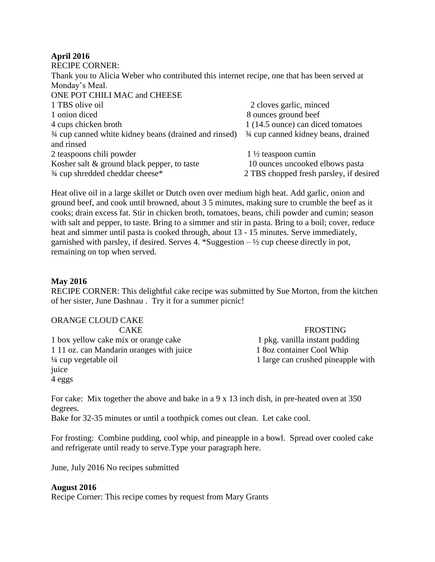## **April 2016**

| <b>RECIPE CORNER:</b>                                                                       |                                         |
|---------------------------------------------------------------------------------------------|-----------------------------------------|
| Thank you to Alicia Weber who contributed this internet recipe, one that has been served at |                                         |
| Monday's Meal.                                                                              |                                         |
| ONE POT CHILI MAC and CHEESE                                                                |                                         |
| 1 TBS olive oil                                                                             | 2 cloves garlic, minced                 |
| 1 onion diced                                                                               | 8 ounces ground beef                    |
| 4 cups chicken broth                                                                        | 1 (14.5 ounce) can diced tomatoes       |
| 3/4 cup canned white kidney beans (drained and rinsed)                                      | 3/4 cup canned kidney beans, drained    |
| and rinsed                                                                                  |                                         |
| 2 teaspoons chili powder                                                                    | $1\frac{1}{2}$ teaspoon cumin           |
| Kosher salt $\&$ ground black pepper, to taste                                              | 10 ounces uncooked elbows pasta         |
| 3/4 cup shredded cheddar cheese*                                                            | 2 TBS chopped fresh parsley, if desired |

Heat olive oil in a large skillet or Dutch oven over medium high heat. Add garlic, onion and ground beef, and cook until browned, about 3 5 minutes, making sure to crumble the beef as it cooks; drain excess fat. Stir in chicken broth, tomatoes, beans, chili powder and cumin; season with salt and pepper, to taste. Bring to a simmer and stir in pasta. Bring to a boil; cover, reduce heat and simmer until pasta is cooked through, about 13 - 15 minutes. Serve immediately, garnished with parsley, if desired. Serves 4. \*Suggestion  $-\frac{1}{2}$  cup cheese directly in pot, remaining on top when served.

## **May 2016**

RECIPE CORNER: This delightful cake recipe was submitted by Sue Morton, from the kitchen of her sister, June Dashnau . Try it for a summer picnic!

| ORANGE CLOUD CAKE                        |                                    |
|------------------------------------------|------------------------------------|
| <b>CAKE</b>                              | <b>FROSTING</b>                    |
| 1 box yellow cake mix or orange cake     | 1 pkg. vanilla instant pudding     |
| 1 11 oz. can Mandarin oranges with juice | 1 8oz container Cool Whip          |
| $\frac{1}{4}$ cup vegetable oil          | 1 large can crushed pineapple with |
| juice                                    |                                    |
| 4 eggs                                   |                                    |

For cake: Mix together the above and bake in a 9 x 13 inch dish, in pre-heated oven at 350 degrees.

Bake for 32-35 minutes or until a toothpick comes out clean. Let cake cool.

For frosting: Combine pudding, cool whip, and pineapple in a bowl. Spread over cooled cake and refrigerate until ready to serve.Type your paragraph here.

June, July 2016 No recipes submitted

# **August 2016**

Recipe Corner: This recipe comes by request from Mary Grants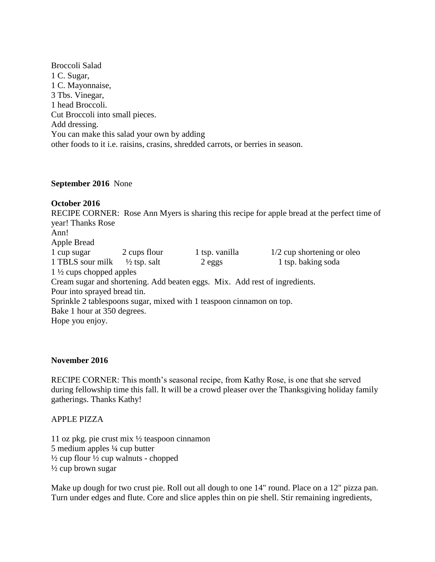Broccoli Salad 1 C. Sugar, 1 C. Mayonnaise, 3 Tbs. Vinegar, 1 head Broccoli. Cut Broccoli into small pieces. Add dressing. You can make this salad your own by adding other foods to it i.e. raisins, crasins, shredded carrots, or berries in season.

#### **September 2016** None

#### **October 2016**

RECIPE CORNER: Rose Ann Myers is sharing this recipe for apple bread at the perfect time of year! Thanks Rose Ann! Apple Bread 1 cup sugar 2 cups flour 1 tsp. vanilla 1/2 cup shortening or oleo 1 TBLS sour milk  $\frac{1}{2}$  tsp. salt 2 eggs 1 tsp. baking soda 1 ½ cups chopped apples Cream sugar and shortening. Add beaten eggs. Mix. Add rest of ingredients. Pour into sprayed bread tin. Sprinkle 2 tablespoons sugar, mixed with 1 teaspoon cinnamon on top. Bake 1 hour at 350 degrees. Hope you enjoy.

#### **November 2016**

RECIPE CORNER: This month's seasonal recipe, from Kathy Rose, is one that she served during fellowship time this fall. It will be a crowd pleaser over the Thanksgiving holiday family gatherings. Thanks Kathy!

APPLE PIZZA

11 oz pkg. pie crust mix ½ teaspoon cinnamon 5 medium apples ¼ cup butter  $\frac{1}{2}$  cup flour  $\frac{1}{2}$  cup walnuts - chopped ½ cup brown sugar

Make up dough for two crust pie. Roll out all dough to one 14" round. Place on a 12" pizza pan. Turn under edges and flute. Core and slice apples thin on pie shell. Stir remaining ingredients,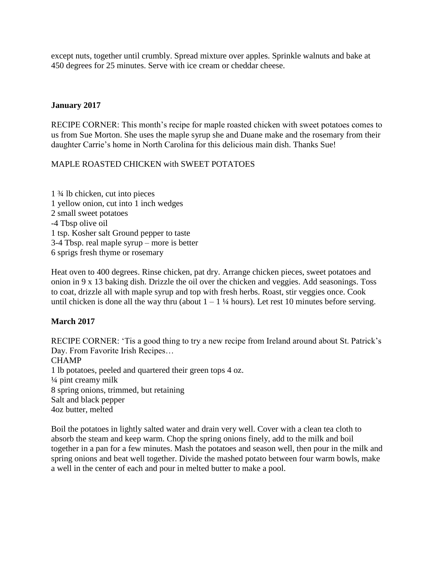except nuts, together until crumbly. Spread mixture over apples. Sprinkle walnuts and bake at 450 degrees for 25 minutes. Serve with ice cream or cheddar cheese.

## **January 2017**

RECIPE CORNER: This month's recipe for maple roasted chicken with sweet potatoes comes to us from Sue Morton. She uses the maple syrup she and Duane make and the rosemary from their daughter Carrie's home in North Carolina for this delicious main dish. Thanks Sue!

# MAPLE ROASTED CHICKEN with SWEET POTATOES

1 ¾ lb chicken, cut into pieces 1 yellow onion, cut into 1 inch wedges 2 small sweet potatoes -4 Tbsp olive oil 1 tsp. Kosher salt Ground pepper to taste 3-4 Tbsp. real maple syrup – more is better 6 sprigs fresh thyme or rosemary

Heat oven to 400 degrees. Rinse chicken, pat dry. Arrange chicken pieces, sweet potatoes and onion in 9 x 13 baking dish. Drizzle the oil over the chicken and veggies. Add seasonings. Toss to coat, drizzle all with maple syrup and top with fresh herbs. Roast, stir veggies once. Cook until chicken is done all the way thru (about  $1 - 1\frac{1}{4}$  hours). Let rest 10 minutes before serving.

# **March 2017**

RECIPE CORNER: 'Tis a good thing to try a new recipe from Ireland around about St. Patrick's Day. From Favorite Irish Recipes… CHAMP 1 lb potatoes, peeled and quartered their green tops 4 oz.  $\frac{1}{4}$  pint creamy milk 8 spring onions, trimmed, but retaining Salt and black pepper 4oz butter, melted

Boil the potatoes in lightly salted water and drain very well. Cover with a clean tea cloth to absorb the steam and keep warm. Chop the spring onions finely, add to the milk and boil together in a pan for a few minutes. Mash the potatoes and season well, then pour in the milk and spring onions and beat well together. Divide the mashed potato between four warm bowls, make a well in the center of each and pour in melted butter to make a pool.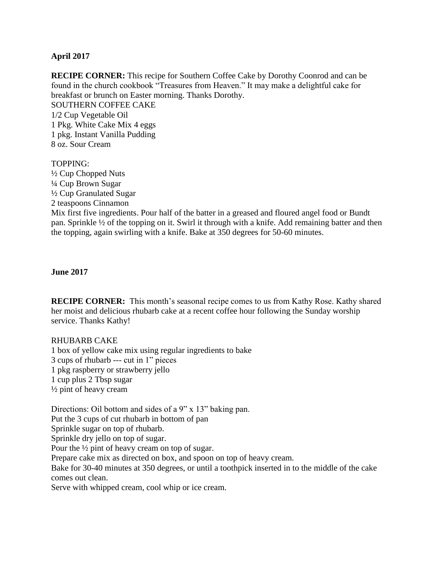## **April 2017**

**RECIPE CORNER:** This recipe for Southern Coffee Cake by Dorothy Coonrod and can be found in the church cookbook "Treasures from Heaven." It may make a delightful cake for breakfast or brunch on Easter morning. Thanks Dorothy. SOUTHERN COFFEE CAKE 1/2 Cup Vegetable Oil 1 Pkg. White Cake Mix 4 eggs 1 pkg. Instant Vanilla Pudding 8 oz. Sour Cream

TOPPING: ½ Cup Chopped Nuts ¼ Cup Brown Sugar ½ Cup Granulated Sugar 2 teaspoons Cinnamon Mix first five ingredients. Pour half of the batter in a greased and floured angel food or Bundt pan. Sprinkle ½ of the topping on it. Swirl it through with a knife. Add remaining batter and then the topping, again swirling with a knife. Bake at 350 degrees for 50-60 minutes.

#### **June 2017**

**RECIPE CORNER:** This month's seasonal recipe comes to us from Kathy Rose. Kathy shared her moist and delicious rhubarb cake at a recent coffee hour following the Sunday worship service. Thanks Kathy!

#### RHUBARB CAKE

1 box of yellow cake mix using regular ingredients to bake 3 cups of rhubarb --- cut in 1" pieces 1 pkg raspberry or strawberry jello 1 cup plus 2 Tbsp sugar  $\frac{1}{2}$  pint of heavy cream

Directions: Oil bottom and sides of a 9" x 13" baking pan. Put the 3 cups of cut rhubarb in bottom of pan Sprinkle sugar on top of rhubarb. Sprinkle dry jello on top of sugar. Pour the ½ pint of heavy cream on top of sugar. Prepare cake mix as directed on box, and spoon on top of heavy cream. Bake for 30-40 minutes at 350 degrees, or until a toothpick inserted in to the middle of the cake comes out clean. Serve with whipped cream, cool whip or ice cream.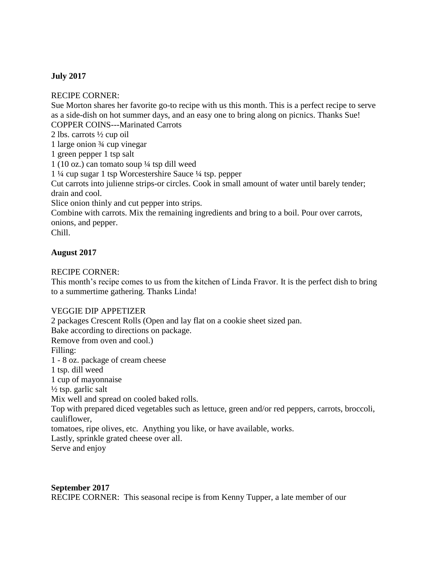# **July 2017**

RECIPE CORNER:

Sue Morton shares her favorite go-to recipe with us this month. This is a perfect recipe to serve as a side-dish on hot summer days, and an easy one to bring along on picnics. Thanks Sue! COPPER COINS---Marinated Carrots

2 lbs. carrots ½ cup oil

1 large onion ¾ cup vinegar

1 green pepper 1 tsp salt

1 (10 oz.) can tomato soup ¼ tsp dill weed

1 ¼ cup sugar 1 tsp Worcestershire Sauce ¼ tsp. pepper

Cut carrots into julienne strips-or circles. Cook in small amount of water until barely tender; drain and cool.

Slice onion thinly and cut pepper into strips.

Combine with carrots. Mix the remaining ingredients and bring to a boil. Pour over carrots, onions, and pepper.

Chill.

# **August 2017**

## RECIPE CORNER:

This month's recipe comes to us from the kitchen of Linda Fravor. It is the perfect dish to bring to a summertime gathering. Thanks Linda!

# VEGGIE DIP APPETIZER

2 packages Crescent Rolls (Open and lay flat on a cookie sheet sized pan. Bake according to directions on package. Remove from oven and cool.) Filling: 1 - 8 oz. package of cream cheese 1 tsp. dill weed 1 cup of mayonnaise  $\frac{1}{2}$  tsp. garlic salt Mix well and spread on cooled baked rolls. Top with prepared diced vegetables such as lettuce, green and/or red peppers, carrots, broccoli, cauliflower, tomatoes, ripe olives, etc. Anything you like, or have available, works. Lastly, sprinkle grated cheese over all. Serve and enjoy

### **September 2017**

RECIPE CORNER: This seasonal recipe is from Kenny Tupper, a late member of our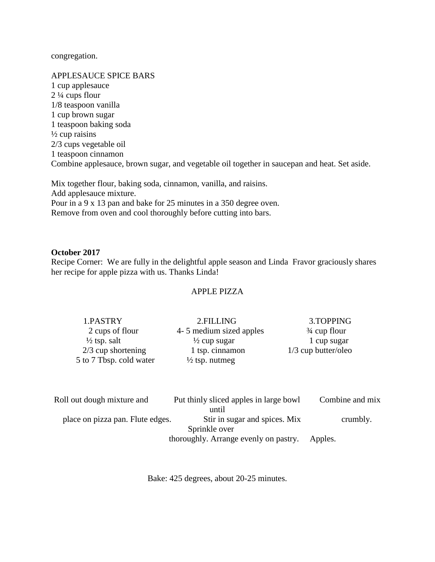congregation.

APPLESAUCE SPICE BARS 1 cup applesauce  $2\frac{1}{4}$  cups flour 1/8 teaspoon vanilla 1 cup brown sugar 1 teaspoon baking soda  $\frac{1}{2}$  cup raisins 2/3 cups vegetable oil 1 teaspoon cinnamon Combine applesauce, brown sugar, and vegetable oil together in saucepan and heat. Set aside.

Mix together flour, baking soda, cinnamon, vanilla, and raisins. Add applesauce mixture. Pour in a 9 x 13 pan and bake for 25 minutes in a 350 degree oven. Remove from oven and cool thoroughly before cutting into bars.

#### **October 2017**

Recipe Corner: We are fully in the delightful apple season and Linda Fravor graciously shares her recipe for apple pizza with us. Thanks Linda!

#### APPLE PIZZA

| 1.PASTRY                | 2.FILLING                 | 3.TOPPING               |
|-------------------------|---------------------------|-------------------------|
| 2 cups of flour         | 4- 5 medium sized apples  | $\frac{3}{4}$ cup flour |
| $\frac{1}{2}$ tsp. salt | $\frac{1}{2}$ cup sugar   | 1 cup sugar             |
| $2/3$ cup shortening    | 1 tsp. cinnamon           | $1/3$ cup butter/oleo   |
| 5 to 7 Tbsp. cold water | $\frac{1}{2}$ tsp. nutmeg |                         |

| Roll out dough mixture and       | Put thinly sliced apples in large bowl | Combine and mix |
|----------------------------------|----------------------------------------|-----------------|
|                                  | until                                  |                 |
| place on pizza pan. Flute edges. | Stir in sugar and spices. Mix          | crumbly.        |
| Sprinkle over                    |                                        |                 |
|                                  | thoroughly. Arrange evenly on pastry.  | Apples.         |

Bake: 425 degrees, about 20-25 minutes.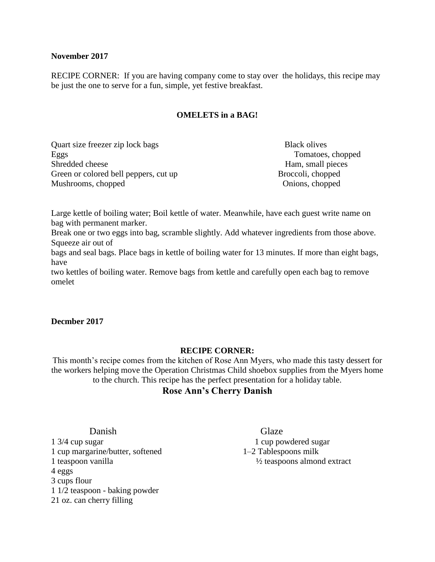#### **November 2017**

RECIPE CORNER: If you are having company come to stay over the holidays, this recipe may be just the one to serve for a fun, simple, yet festive breakfast.

## **OMELETS in a BAG!**

Quart size freezer zip lock bags Black olives Eggs Tomatoes, chopped Shredded cheese Ham, small pieces Green or colored bell peppers, cut up Broccoli, chopped Mushrooms, chopped Onions, chopped Onions, chopped Onions, chopped Onions, chopped Onions, chopped Onions, chopped Onions, chopped  $\alpha$ 

Large kettle of boiling water; Boil kettle of water. Meanwhile, have each guest write name on bag with permanent marker.

Break one or two eggs into bag, scramble slightly. Add whatever ingredients from those above. Squeeze air out of

bags and seal bags. Place bags in kettle of boiling water for 13 minutes. If more than eight bags, have

two kettles of boiling water. Remove bags from kettle and carefully open each bag to remove omelet

### **Decmber 2017**

### **RECIPE CORNER:**

This month's recipe comes from the kitchen of Rose Ann Myers, who made this tasty dessert for the workers helping move the Operation Christmas Child shoebox supplies from the Myers home to the church. This recipe has the perfect presentation for a holiday table.

# **Rose Ann's Cherry Danish**

**Danish** Glaze 1 3/4 cup sugar 1 cup powdered sugar 1 cup margarine/butter, softened 1–2 Tablespoons milk 1 teaspoon vanilla ½ teaspoons almond extract 4 eggs 3 cups flour 1 1/2 teaspoon - baking powder 21 oz. can cherry filling